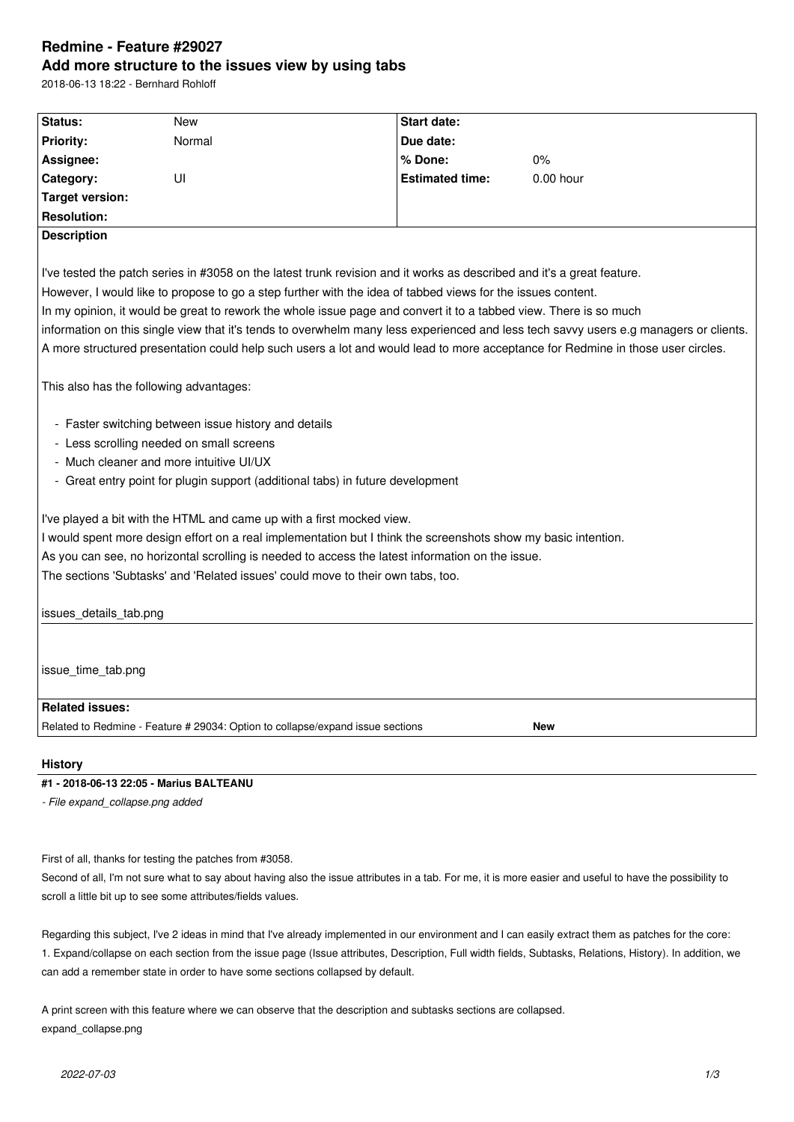# **Redmine - Feature #29027 Add more structure to the issues view by using tabs**

2018-06-13 18:22 - Bernhard Rohloff

| Status:                                                                                                                               | <b>New</b>                                                                                                             | Start date:            |             |  |  |  |
|---------------------------------------------------------------------------------------------------------------------------------------|------------------------------------------------------------------------------------------------------------------------|------------------------|-------------|--|--|--|
| <b>Priority:</b>                                                                                                                      | Normal                                                                                                                 | Due date:              |             |  |  |  |
| Assignee:                                                                                                                             |                                                                                                                        | % Done:                | 0%          |  |  |  |
| Category:                                                                                                                             | UI                                                                                                                     | <b>Estimated time:</b> | $0.00$ hour |  |  |  |
| <b>Target version:</b>                                                                                                                |                                                                                                                        |                        |             |  |  |  |
| <b>Resolution:</b>                                                                                                                    |                                                                                                                        |                        |             |  |  |  |
| <b>Description</b>                                                                                                                    |                                                                                                                        |                        |             |  |  |  |
|                                                                                                                                       |                                                                                                                        |                        |             |  |  |  |
|                                                                                                                                       | I've tested the patch series in #3058 on the latest trunk revision and it works as described and it's a great feature. |                        |             |  |  |  |
| However, I would like to propose to go a step further with the idea of tabbed views for the issues content.                           |                                                                                                                        |                        |             |  |  |  |
| In my opinion, it would be great to rework the whole issue page and convert it to a tabbed view. There is so much                     |                                                                                                                        |                        |             |  |  |  |
| information on this single view that it's tends to overwhelm many less experienced and less tech savvy users e.g managers or clients. |                                                                                                                        |                        |             |  |  |  |
| A more structured presentation could help such users a lot and would lead to more acceptance for Redmine in those user circles.       |                                                                                                                        |                        |             |  |  |  |
|                                                                                                                                       |                                                                                                                        |                        |             |  |  |  |
| This also has the following advantages:                                                                                               |                                                                                                                        |                        |             |  |  |  |
|                                                                                                                                       |                                                                                                                        |                        |             |  |  |  |
| - Faster switching between issue history and details                                                                                  |                                                                                                                        |                        |             |  |  |  |
| - Less scrolling needed on small screens                                                                                              |                                                                                                                        |                        |             |  |  |  |
| - Much cleaner and more intuitive UI/UX                                                                                               |                                                                                                                        |                        |             |  |  |  |
|                                                                                                                                       | - Great entry point for plugin support (additional tabs) in future development                                         |                        |             |  |  |  |
|                                                                                                                                       |                                                                                                                        |                        |             |  |  |  |
| I've played a bit with the HTML and came up with a first mocked view.                                                                 |                                                                                                                        |                        |             |  |  |  |
| I would spent more design effort on a real implementation but I think the screenshots show my basic intention.                        |                                                                                                                        |                        |             |  |  |  |
| As you can see, no horizontal scrolling is needed to access the latest information on the issue.                                      |                                                                                                                        |                        |             |  |  |  |
| The sections 'Subtasks' and 'Related issues' could move to their own tabs, too.                                                       |                                                                                                                        |                        |             |  |  |  |
|                                                                                                                                       |                                                                                                                        |                        |             |  |  |  |
| issues_details_tab.png                                                                                                                |                                                                                                                        |                        |             |  |  |  |
|                                                                                                                                       |                                                                                                                        |                        |             |  |  |  |
|                                                                                                                                       |                                                                                                                        |                        |             |  |  |  |
| issue_time_tab.png                                                                                                                    |                                                                                                                        |                        |             |  |  |  |
|                                                                                                                                       |                                                                                                                        |                        |             |  |  |  |
| <b>Related issues:</b>                                                                                                                |                                                                                                                        |                        |             |  |  |  |
|                                                                                                                                       | Related to Redmine - Feature # 29034: Option to collapse/expand issue sections                                         |                        | <b>New</b>  |  |  |  |
|                                                                                                                                       |                                                                                                                        |                        |             |  |  |  |
| <b>History</b>                                                                                                                        |                                                                                                                        |                        |             |  |  |  |
| 0040.00.40.00.05 Mexico DALTEANUL                                                                                                     |                                                                                                                        |                        |             |  |  |  |

### **#1 - 2018-06-13 22:05 - Marius BALTEANU**

*- File expand\_collapse.png added*

First of all, thanks for testing the patches from #3058.

Second of all, I'm not sure what to say about having also the issue attributes in a tab. For me, it is more easier and useful to have the possibility to scroll a little bit up to see some attributes/fields values.

Regarding this subject, I've 2 ideas in mind that I've already implemented in our environment and I can easily extract them as patches for the core: 1. Expand/collapse on each section from the issue page (Issue attributes, Description, Full width fields, Subtasks, Relations, History). In addition, we can add a remember state in order to have some sections collapsed by default.

A print screen with this feature where we can observe that the description and subtasks sections are collapsed. expand\_collapse.png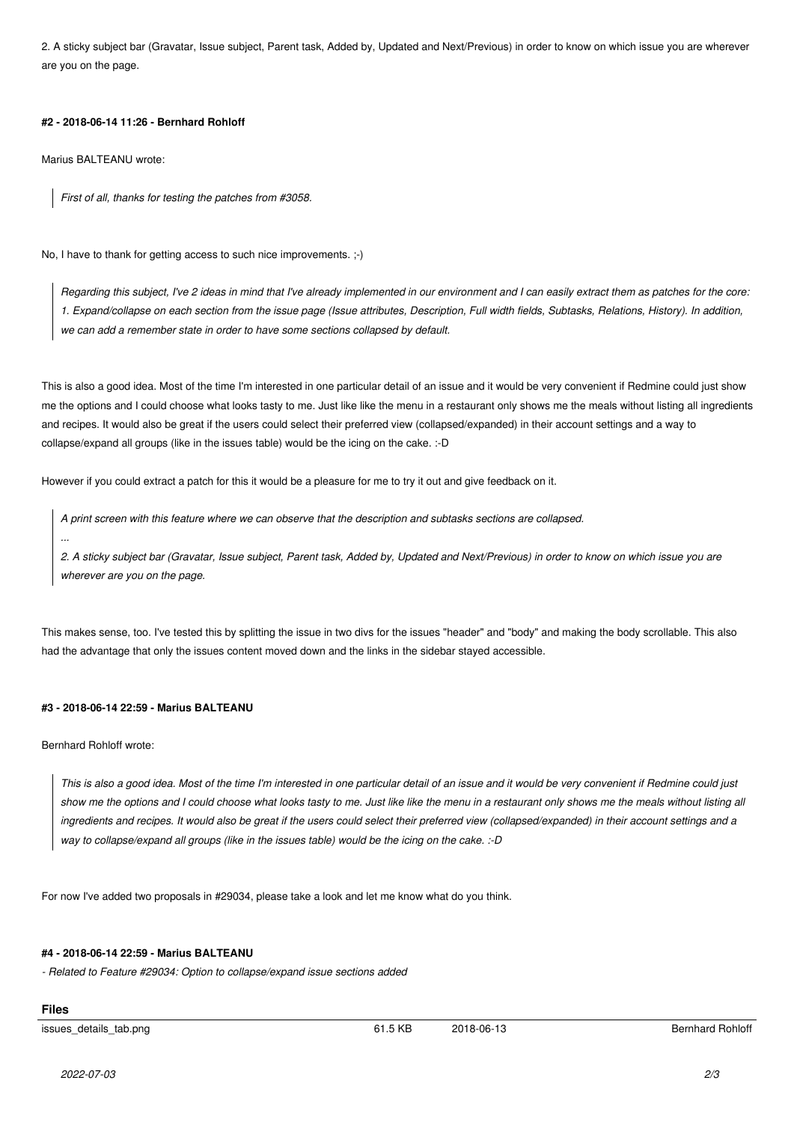2. A sticky subject bar (Gravatar, Issue subject, Parent task, Added by, Updated and Next/Previous) in order to know on which issue you are wherever are you on the page.

#### **#2 - 2018-06-14 11:26 - Bernhard Rohloff**

Marius BALTEANU wrote:

*First of all, thanks for testing the patches from #3058.*

No, I have to thank for getting access to such nice improvements. ;-)

*Regarding this subject, I've 2 ideas in mind that I've already implemented in our environment and I can easily extract them as patches for the core: 1. Expand/collapse on each section from the issue page (Issue attributes, Description, Full width fields, Subtasks, Relations, History). In addition, we can add a remember state in order to have some sections collapsed by default.*

This is also a good idea. Most of the time I'm interested in one particular detail of an issue and it would be very convenient if Redmine could just show me the options and I could choose what looks tasty to me. Just like like the menu in a restaurant only shows me the meals without listing all ingredients and recipes. It would also be great if the users could select their preferred view (collapsed/expanded) in their account settings and a way to collapse/expand all groups (like in the issues table) would be the icing on the cake. :-D

However if you could extract a patch for this it would be a pleasure for me to try it out and give feedback on it.

*A print screen with this feature where we can observe that the description and subtasks sections are collapsed. ...*

*2. A sticky subject bar (Gravatar, Issue subject, Parent task, Added by, Updated and Next/Previous) in order to know on which issue you are wherever are you on the page.*

This makes sense, too. I've tested this by splitting the issue in two divs for the issues "header" and "body" and making the body scrollable. This also had the advantage that only the issues content moved down and the links in the sidebar stayed accessible.

## **#3 - 2018-06-14 22:59 - Marius BALTEANU**

Bernhard Rohloff wrote:

*This is also a good idea. Most of the time I'm interested in one particular detail of an issue and it would be very convenient if Redmine could just show me the options and I could choose what looks tasty to me. Just like like the menu in a restaurant only shows me the meals without listing all ingredients and recipes. It would also be great if the users could select their preferred view (collapsed/expanded) in their account settings and a way to collapse/expand all groups (like in the issues table) would be the icing on the cake. :-D*

For now I've added two proposals in #29034, please take a look and let me know what do you think.

#### **#4 - 2018-06-14 22:59 - Marius BALTEANU**

*- Related to Feature #29034: Option to collapse/expand issue sections added*